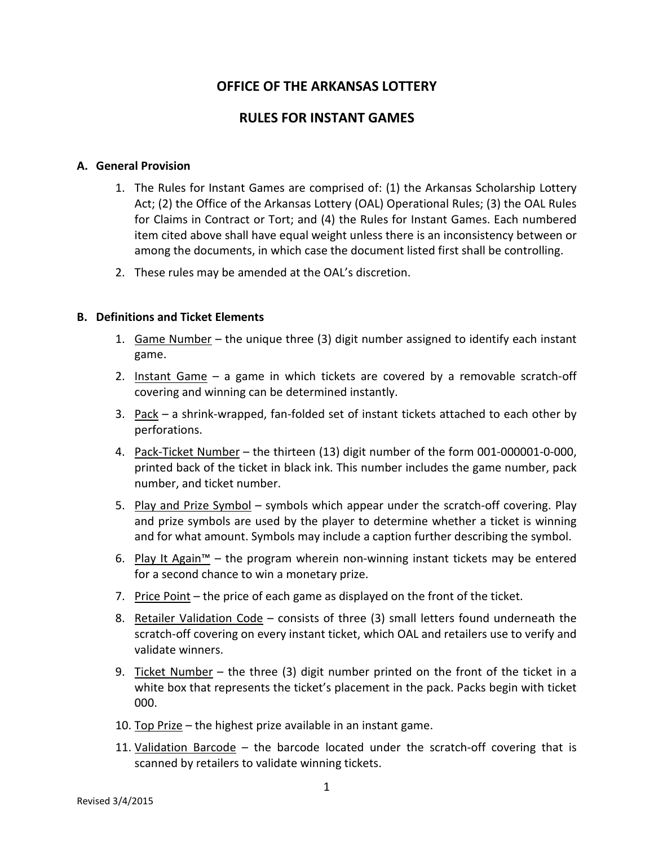# **OFFICE OF THE ARKANSAS LOTTERY**

## **RULES FOR INSTANT GAMES**

#### **A. General Provision**

- 1. The Rules for Instant Games are comprised of: (1) the Arkansas Scholarship Lottery Act; (2) the Office of the Arkansas Lottery (OAL) Operational Rules; (3) the OAL Rules for Claims in Contract or Tort; and (4) the Rules for Instant Games. Each numbered item cited above shall have equal weight unless there is an inconsistency between or among the documents, in which case the document listed first shall be controlling.
- 2. These rules may be amended at the OAL's discretion.

#### **B. Definitions and Ticket Elements**

- 1. Game Number the unique three  $(3)$  digit number assigned to identify each instant game.
- 2. Instant Game a game in which tickets are covered by a removable scratch-off covering and winning can be determined instantly.
- 3. Pack a shrink-wrapped, fan-folded set of instant tickets attached to each other by perforations.
- 4. Pack-Ticket Number the thirteen (13) digit number of the form 001-000001-0-000, printed back of the ticket in black ink. This number includes the game number, pack number, and ticket number.
- 5. Play and Prize Symbol symbols which appear under the scratch-off covering. Play and prize symbols are used by the player to determine whether a ticket is winning and for what amount. Symbols may include a caption further describing the symbol.
- 6. Play It Again™ the program wherein non-winning instant tickets may be entered for a second chance to win a monetary prize.
- 7. Price Point the price of each game as displayed on the front of the ticket.
- 8. Retailer Validation Code consists of three (3) small letters found underneath the scratch-off covering on every instant ticket, which OAL and retailers use to verify and validate winners.
- 9. Ticket Number the three (3) digit number printed on the front of the ticket in a white box that represents the ticket's placement in the pack. Packs begin with ticket 000.
- 10. Top Prize the highest prize available in an instant game.
- 11. Validation Barcode the barcode located under the scratch-off covering that is scanned by retailers to validate winning tickets.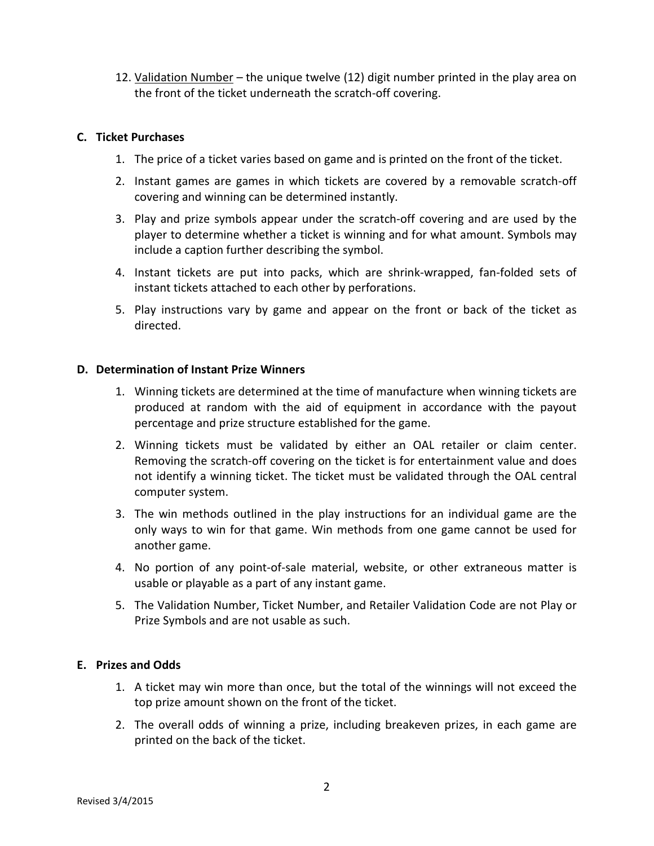12. Validation Number – the unique twelve (12) digit number printed in the play area on the front of the ticket underneath the scratch-off covering.

### **C. Ticket Purchases**

- 1. The price of a ticket varies based on game and is printed on the front of the ticket.
- 2. Instant games are games in which tickets are covered by a removable scratch-off covering and winning can be determined instantly.
- 3. Play and prize symbols appear under the scratch-off covering and are used by the player to determine whether a ticket is winning and for what amount. Symbols may include a caption further describing the symbol.
- 4. Instant tickets are put into packs, which are shrink-wrapped, fan-folded sets of instant tickets attached to each other by perforations.
- 5. Play instructions vary by game and appear on the front or back of the ticket as directed.

#### **D. Determination of Instant Prize Winners**

- 1. Winning tickets are determined at the time of manufacture when winning tickets are produced at random with the aid of equipment in accordance with the payout percentage and prize structure established for the game.
- 2. Winning tickets must be validated by either an OAL retailer or claim center. Removing the scratch-off covering on the ticket is for entertainment value and does not identify a winning ticket. The ticket must be validated through the OAL central computer system.
- 3. The win methods outlined in the play instructions for an individual game are the only ways to win for that game. Win methods from one game cannot be used for another game.
- 4. No portion of any point-of-sale material, website, or other extraneous matter is usable or playable as a part of any instant game.
- 5. The Validation Number, Ticket Number, and Retailer Validation Code are not Play or Prize Symbols and are not usable as such.

## **E. Prizes and Odds**

- 1. A ticket may win more than once, but the total of the winnings will not exceed the top prize amount shown on the front of the ticket.
- 2. The overall odds of winning a prize, including breakeven prizes, in each game are printed on the back of the ticket.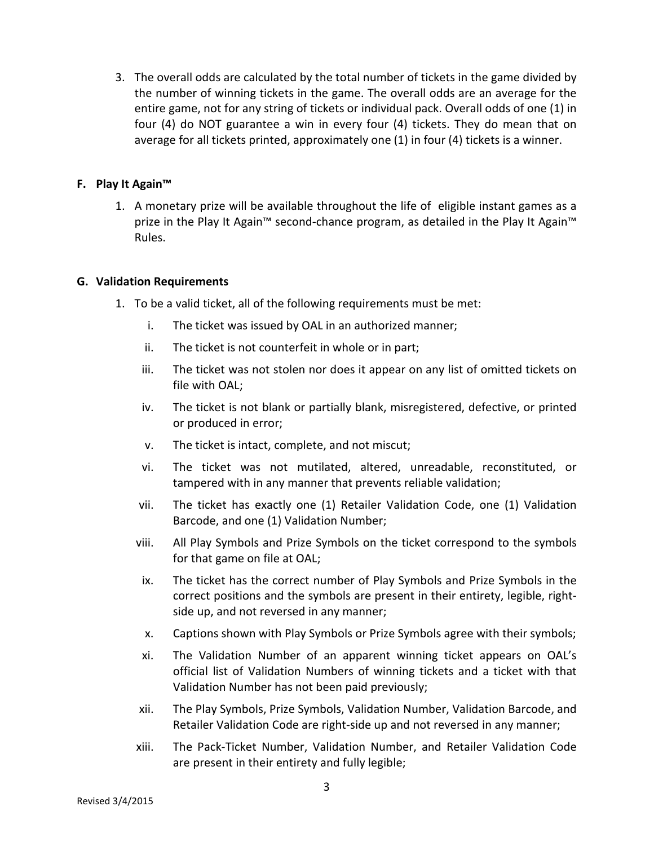3. The overall odds are calculated by the total number of tickets in the game divided by the number of winning tickets in the game. The overall odds are an average for the entire game, not for any string of tickets or individual pack. Overall odds of one (1) in four (4) do NOT guarantee a win in every four (4) tickets. They do mean that on average for all tickets printed, approximately one (1) in four (4) tickets is a winner.

### **F. Play It Again™**

1. A monetary prize will be available throughout the life of eligible instant games as a prize in the Play It Again™ second-chance program, as detailed in the Play It Again™ Rules.

## **G. Validation Requirements**

- 1. To be a valid ticket, all of the following requirements must be met:
	- i. The ticket was issued by OAL in an authorized manner;
	- ii. The ticket is not counterfeit in whole or in part;
	- iii. The ticket was not stolen nor does it appear on any list of omitted tickets on file with OAL;
	- iv. The ticket is not blank or partially blank, misregistered, defective, or printed or produced in error;
	- v. The ticket is intact, complete, and not miscut;
	- vi. The ticket was not mutilated, altered, unreadable, reconstituted, or tampered with in any manner that prevents reliable validation;
	- vii. The ticket has exactly one (1) Retailer Validation Code, one (1) Validation Barcode, and one (1) Validation Number;
	- viii. All Play Symbols and Prize Symbols on the ticket correspond to the symbols for that game on file at OAL;
	- ix. The ticket has the correct number of Play Symbols and Prize Symbols in the correct positions and the symbols are present in their entirety, legible, rightside up, and not reversed in any manner;
	- x. Captions shown with Play Symbols or Prize Symbols agree with their symbols;
	- xi. The Validation Number of an apparent winning ticket appears on OAL's official list of Validation Numbers of winning tickets and a ticket with that Validation Number has not been paid previously;
	- xii. The Play Symbols, Prize Symbols, Validation Number, Validation Barcode, and Retailer Validation Code are right-side up and not reversed in any manner;
	- xiii. The Pack-Ticket Number, Validation Number, and Retailer Validation Code are present in their entirety and fully legible;